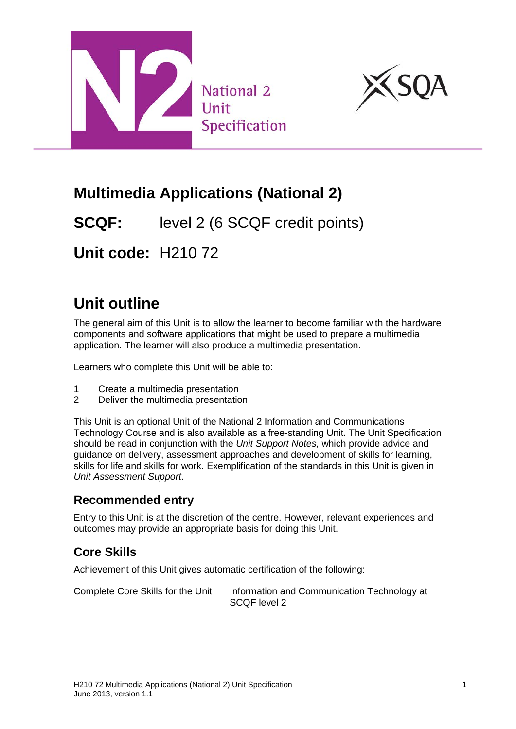



## **Multimedia Applications (National 2)**

**SCQF:** level 2 (6 SCQF credit points)

**Unit code:** H210 72

# **Unit outline**

The general aim of this Unit is to allow the learner to become familiar with the hardware components and software applications that might be used to prepare a multimedia application. The learner will also produce a multimedia presentation.

Learners who complete this Unit will be able to:

- 1 Create a multimedia presentation<br>2 Deliver the multimedia presentation
- Deliver the multimedia presentation

This Unit is an optional Unit of the National 2 Information and Communications Technology Course and is also available as a free-standing Unit. The Unit Specification should be read in conjunction with the *Unit Support Notes,* which provide advice and guidance on delivery, assessment approaches and development of skills for learning, skills for life and skills for work. Exemplification of the standards in this Unit is given in *Unit Assessment Support*.

#### **Recommended entry**

Entry to this Unit is at the discretion of the centre. However, relevant experiences and outcomes may provide an appropriate basis for doing this Unit.

### **Core Skills**

Achievement of this Unit gives automatic certification of the following:

Complete Core Skills for the Unit Information and Communication Technology at SCQF level 2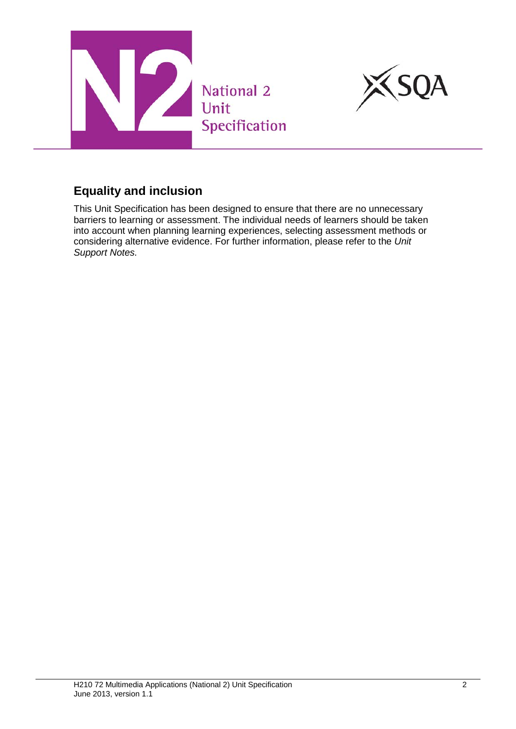



#### **Equality and inclusion**

This Unit Specification has been designed to ensure that there are no unnecessary barriers to learning or assessment. The individual needs of learners should be taken into account when planning learning experiences, selecting assessment methods or considering alternative evidence. For further information, please refer to the *Unit Support Notes.*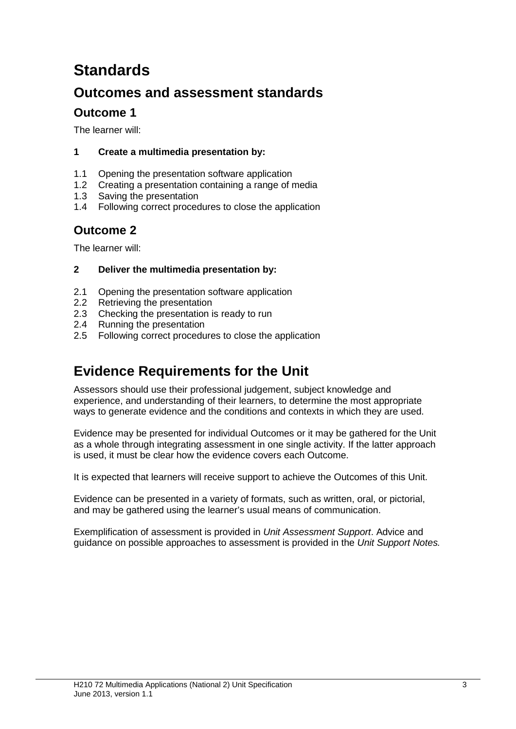## **Standards**

### **Outcomes and assessment standards**

### **Outcome 1**

The learner will:

#### **1 Create a multimedia presentation by:**

- 1.1 Opening the presentation software application
- 1.2 Creating a presentation containing a range of media
- 1.3 Saving the presentation
- 1.4 Following correct procedures to close the application

### **Outcome 2**

The learner will:

#### **2 Deliver the multimedia presentation by:**

- 2.1 Opening the presentation software application
- 2.2 Retrieving the presentation
- 2.3 Checking the presentation is ready to run
- 2.4 Running the presentation
- 2.5 Following correct procedures to close the application

### **Evidence Requirements for the Unit**

Assessors should use their professional judgement, subject knowledge and experience, and understanding of their learners, to determine the most appropriate ways to generate evidence and the conditions and contexts in which they are used.

Evidence may be presented for individual Outcomes or it may be gathered for the Unit as a whole through integrating assessment in one single activity. If the latter approach is used, it must be clear how the evidence covers each Outcome.

It is expected that learners will receive support to achieve the Outcomes of this Unit.

Evidence can be presented in a variety of formats, such as written, oral, or pictorial, and may be gathered using the learner's usual means of communication.

Exemplification of assessment is provided in *Unit Assessment Support*. Advice and guidance on possible approaches to assessment is provided in the *Unit Support Notes.*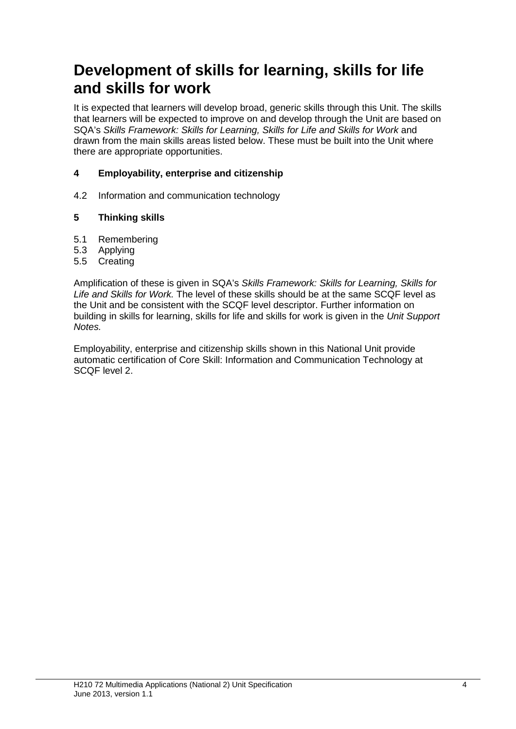## **Development of skills for learning, skills for life and skills for work**

It is expected that learners will develop broad, generic skills through this Unit. The skills that learners will be expected to improve on and develop through the Unit are based on SQA's *Skills Framework: Skills for Learning, Skills for Life and Skills for Work* and drawn from the main skills areas listed below. These must be built into the Unit where there are appropriate opportunities.

#### **4 Employability, enterprise and citizenship**

4.2 Information and communication technology

#### **5 Thinking skills**

- 5.1 Remembering
- 5.3 Applying
- 5.5 Creating

Amplification of these is given in SQA's *Skills Framework: Skills for Learning, Skills for Life and Skills for Work.* The level of these skills should be at the same SCQF level as the Unit and be consistent with the SCQF level descriptor. Further information on building in skills for learning, skills for life and skills for work is given in the *Unit Support Notes.*

Employability, enterprise and citizenship skills shown in this National Unit provide automatic certification of Core Skill: Information and Communication Technology at SCQF level 2.